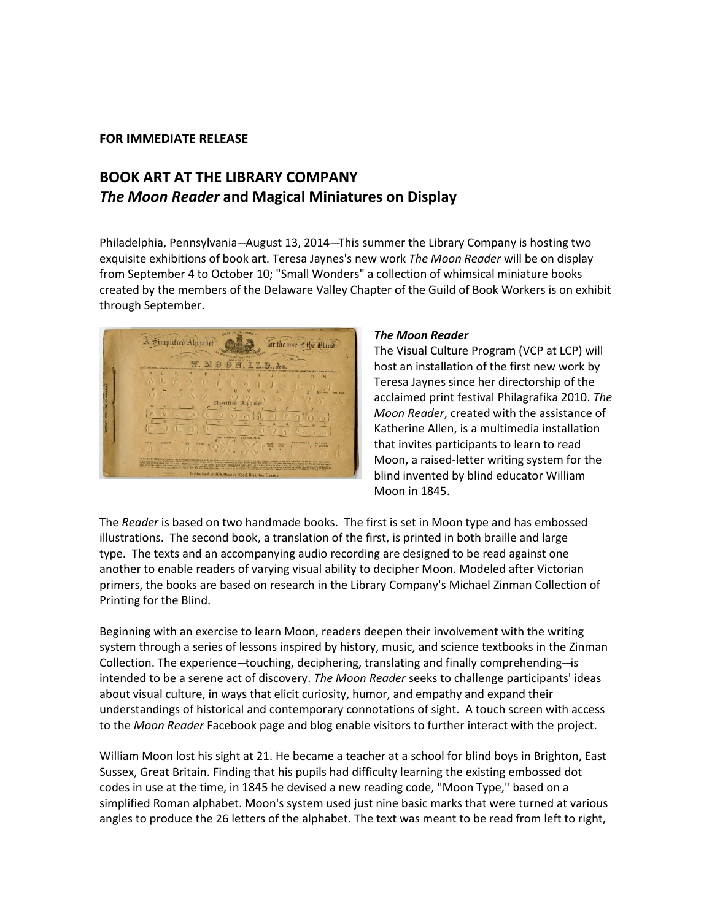## **FOR IMMEDIATE RELEASE**

# **BOOK ART AT THE LIBRARY COMPANY** *The Moon Reader* **and Magical Miniatures on Display**

Philadelphia, Pennsylvania--August 13, 2014---This summer the Library Company is hosting two exquisite exhibitions of book art. Teresa Jaynes's new work *The Moon Reader* will be on display from September 4 to October 10; "Small Wonders" a collection of whimsical miniature books created by the members of the Delaware Valley Chapter of the Guild of Book Workers is on exhibit through September.



### *The Moon Reader*

The Visual Culture Program (VCP at LCP) will host an installation of the first new work by Teresa Jaynes since her directorship of the acclaimed print festival Philagrafika 2010. *The Moon Reader*, created with the assistance of Katherine Allen, is a multimedia installation that invites participants to learn to read Moon, a raised-letter writing system for the blind invented by blind educator William Moon in 1845.

The *Reader* is based on two handmade books. The first is set in Moon type and has embossed illustrations. The second book, a translation of the first, is printed in both braille and large type. The texts and an accompanying audio recording are designed to be read against one another to enable readers of varying visual ability to decipher Moon. Modeled after Victorian primers, the books are based on research in the Library Company's Michael Zinman Collection of Printing for the Blind.

Beginning with an exercise to learn Moon, readers deepen their involvement with the writing system through a series of lessons inspired by history, music, and science textbooks in the Zinman Collection. The experience--touching, deciphering, translating and finally comprehending-is intended to be a serene act of discovery. *The Moon Reader* seeks to challenge participants' ideas about visual culture, in ways that elicit curiosity, humor, and empathy and expand their understandings of historical and contemporary connotations of sight. A touch screen with access to the *Moon Reader* Facebook page and blog enable visitors to further interact with the project.

William Moon lost his sight at 21. He became a teacher at a school for blind boys in Brighton, East Sussex, Great Britain. Finding that his pupils had difficulty learning the existing embossed dot codes in use at the time, in 1845 he devised a new reading code, "Moon Type," based on a simplified Roman alphabet. Moon's system used just nine basic marks that were turned at various angles to produce the 26 letters of the alphabet. The text was meant to be read from left to right,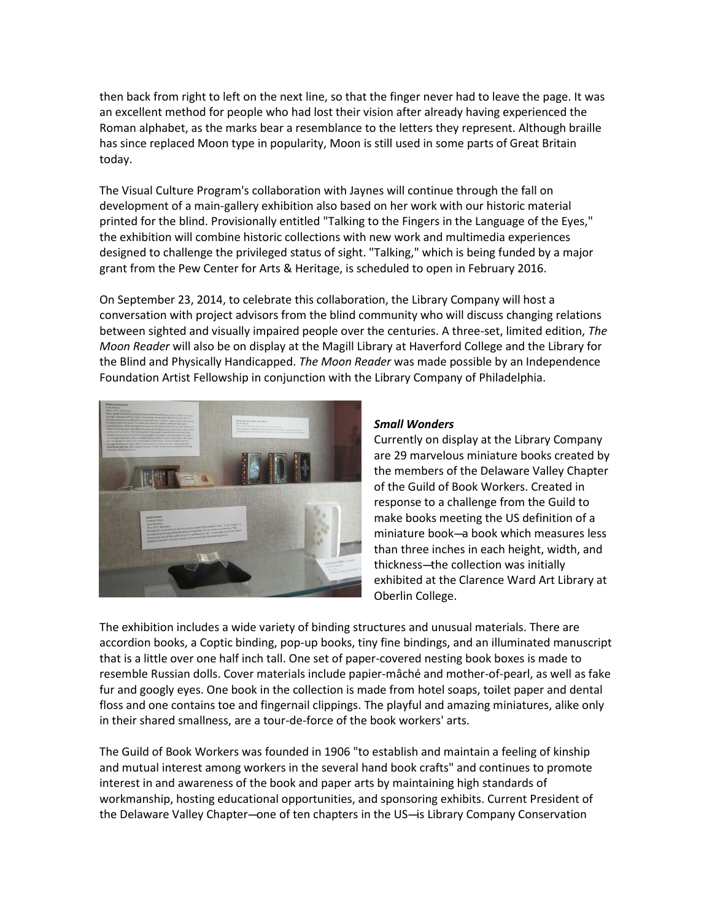then back from right to left on the next line, so that the finger never had to leave the page. It was an excellent method for people who had lost their vision after already having experienced the Roman alphabet, as the marks bear a resemblance to the letters they represent. Although braille has since replaced Moon type in popularity, Moon is still used in some parts of Great Britain today.

The Visual Culture Program's collaboration with Jaynes will continue through the fall on development of a main-gallery exhibition also based on her work with our historic material printed for the blind. Provisionally entitled "Talking to the Fingers in the Language of the Eyes," the exhibition will combine historic collections with new work and multimedia experiences designed to challenge the privileged status of sight. "Talking," which is being funded by a major grant from the Pew Center for Arts & Heritage, is scheduled to open in February 2016.

On September 23, 2014, to celebrate this collaboration, the Library Company will host a conversation with project advisors from the blind community who will discuss changing relations between sighted and visually impaired people over the centuries. A three-set, limited edition, *The Moon Reader* will also be on display at the Magill Library at Haverford College and the Library for the Blind and Physically Handicapped. *The Moon Reader* was made possible by an Independence Foundation Artist Fellowship in conjunction with the Library Company of Philadelphia.



## *Small Wonders*

Currently on display at the Library Company are 29 marvelous miniature books created by the members of the Delaware Valley Chapter of the Guild of Book Workers. Created in response to a challenge from the Guild to make books meeting the US definition of a miniature book-a book which measures less than three inches in each height, width, and thickness---the collection was initially exhibited at the Clarence Ward Art Library at Oberlin College.

The exhibition includes a wide variety of binding structures and unusual materials. There are accordion books, a Coptic binding, pop-up books, tiny fine bindings, and an illuminated manuscript that is a little over one half inch tall. One set of paper-covered nesting book boxes is made to resemble Russian dolls. Cover materials include papier-mâché and mother-of-pearl, as well as fake fur and googly eyes. One book in the collection is made from hotel soaps, toilet paper and dental floss and one contains toe and fingernail clippings. The playful and amazing miniatures, alike only in their shared smallness, are a tour-de-force of the book workers' arts.

The Guild of Book Workers was founded in 1906 "to establish and maintain a feeling of kinship and mutual interest among workers in the several hand book crafts" and continues to promote interest in and awareness of the book and paper arts by maintaining high standards of workmanship, hosting educational opportunities, and sponsoring exhibits. Current President of the Delaware Valley Chapter--one of ten chapters in the US--is Library Company Conservation